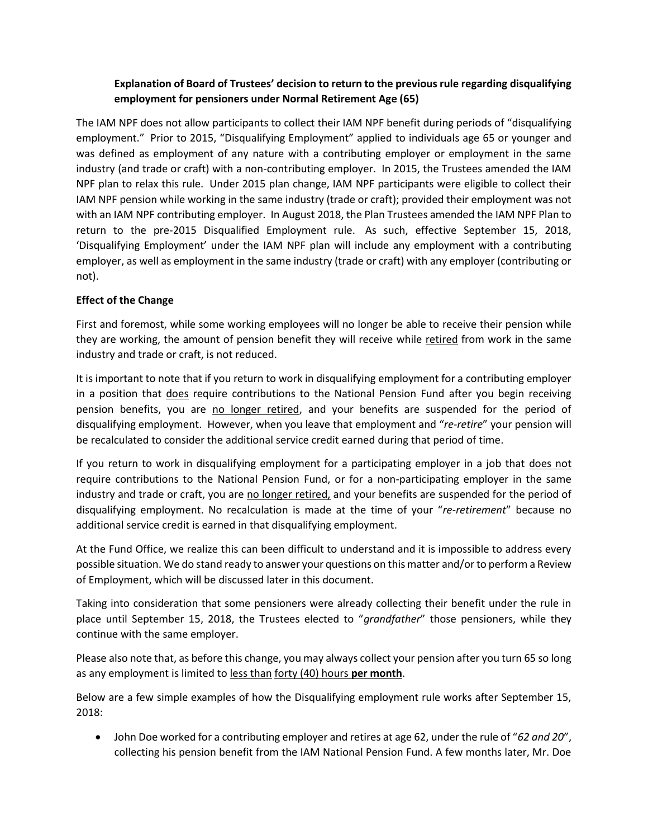## **Explanation of Board of Trustees' decision to return to the previous rule regarding disqualifying employment for pensioners under Normal Retirement Age (65)**

The IAM NPF does not allow participants to collect their IAM NPF benefit during periods of "disqualifying employment." Prior to 2015, "Disqualifying Employment" applied to individuals age 65 or younger and was defined as employment of any nature with a contributing employer or employment in the same industry (and trade or craft) with a non-contributing employer. In 2015, the Trustees amended the IAM NPF plan to relax this rule. Under 2015 plan change, IAM NPF participants were eligible to collect their IAM NPF pension while working in the same industry (trade or craft); provided their employment was not with an IAM NPF contributing employer. In August 2018, the Plan Trustees amended the IAM NPF Plan to return to the pre-2015 Disqualified Employment rule. As such, effective September 15, 2018, 'Disqualifying Employment' under the IAM NPF plan will include any employment with a contributing employer, as well as employment in the same industry (trade or craft) with any employer (contributing or not).

## **Effect of the Change**

First and foremost, while some working employees will no longer be able to receive their pension while they are working, the amount of pension benefit they will receive while retired from work in the same industry and trade or craft, is not reduced.

It is important to note that if you return to work in disqualifying employment for a contributing employer in a position that does require contributions to the National Pension Fund after you begin receiving pension benefits, you are no longer retired, and your benefits are suspended for the period of disqualifying employment. However, when you leave that employment and "*re-retire*" your pension will be recalculated to consider the additional service credit earned during that period of time.

If you return to work in disqualifying employment for a participating employer in a job that does not require contributions to the National Pension Fund, or for a non-participating employer in the same industry and trade or craft, you are no longer retired, and your benefits are suspended for the period of disqualifying employment. No recalculation is made at the time of your "*re-retirement*" because no additional service credit is earned in that disqualifying employment.

At the Fund Office, we realize this can been difficult to understand and it is impossible to address every possible situation. We do stand ready to answer your questions on this matter and/or to perform a Review of Employment, which will be discussed later in this document.

Taking into consideration that some pensioners were already collecting their benefit under the rule in place until September 15, 2018, the Trustees elected to "*grandfather*" those pensioners, while they continue with the same employer.

Please also note that, as before this change, you may always collect your pension after you turn 65 so long as any employment is limited to less than forty (40) hours **per month**.

Below are a few simple examples of how the Disqualifying employment rule works after September 15, 2018:

• John Doe worked for a contributing employer and retires at age 62, under the rule of "*62 and 20*", collecting his pension benefit from the IAM National Pension Fund. A few months later, Mr. Doe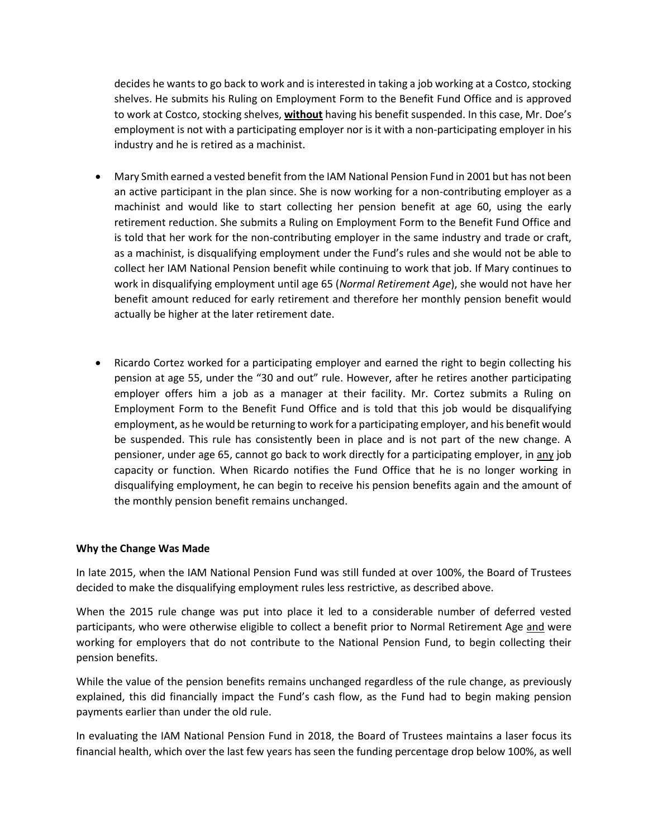decides he wants to go back to work and is interested in taking a job working at a Costco, stocking shelves. He submits his Ruling on Employment Form to the Benefit Fund Office and is approved to work at Costco, stocking shelves, **without** having his benefit suspended. In this case, Mr. Doe's employment is not with a participating employer nor is it with a non-participating employer in his industry and he is retired as a machinist.

- Mary Smith earned a vested benefit from the IAM National Pension Fund in 2001 but has not been an active participant in the plan since. She is now working for a non-contributing employer as a machinist and would like to start collecting her pension benefit at age 60, using the early retirement reduction. She submits a Ruling on Employment Form to the Benefit Fund Office and is told that her work for the non-contributing employer in the same industry and trade or craft, as a machinist, is disqualifying employment under the Fund's rules and she would not be able to collect her IAM National Pension benefit while continuing to work that job. If Mary continues to work in disqualifying employment until age 65 (*Normal Retirement Age*), she would not have her benefit amount reduced for early retirement and therefore her monthly pension benefit would actually be higher at the later retirement date.
- Ricardo Cortez worked for a participating employer and earned the right to begin collecting his pension at age 55, under the "30 and out" rule. However, after he retires another participating employer offers him a job as a manager at their facility. Mr. Cortez submits a Ruling on Employment Form to the Benefit Fund Office and is told that this job would be disqualifying employment, as he would be returning to work for a participating employer, and his benefit would be suspended. This rule has consistently been in place and is not part of the new change. A pensioner, under age 65, cannot go back to work directly for a participating employer, in any job capacity or function. When Ricardo notifies the Fund Office that he is no longer working in disqualifying employment, he can begin to receive his pension benefits again and the amount of the monthly pension benefit remains unchanged.

## **Why the Change Was Made**

In late 2015, when the IAM National Pension Fund was still funded at over 100%, the Board of Trustees decided to make the disqualifying employment rules less restrictive, as described above.

When the 2015 rule change was put into place it led to a considerable number of deferred vested participants, who were otherwise eligible to collect a benefit prior to Normal Retirement Age and were working for employers that do not contribute to the National Pension Fund, to begin collecting their pension benefits.

While the value of the pension benefits remains unchanged regardless of the rule change, as previously explained, this did financially impact the Fund's cash flow, as the Fund had to begin making pension payments earlier than under the old rule.

In evaluating the IAM National Pension Fund in 2018, the Board of Trustees maintains a laser focus its financial health, which over the last few years has seen the funding percentage drop below 100%, as well